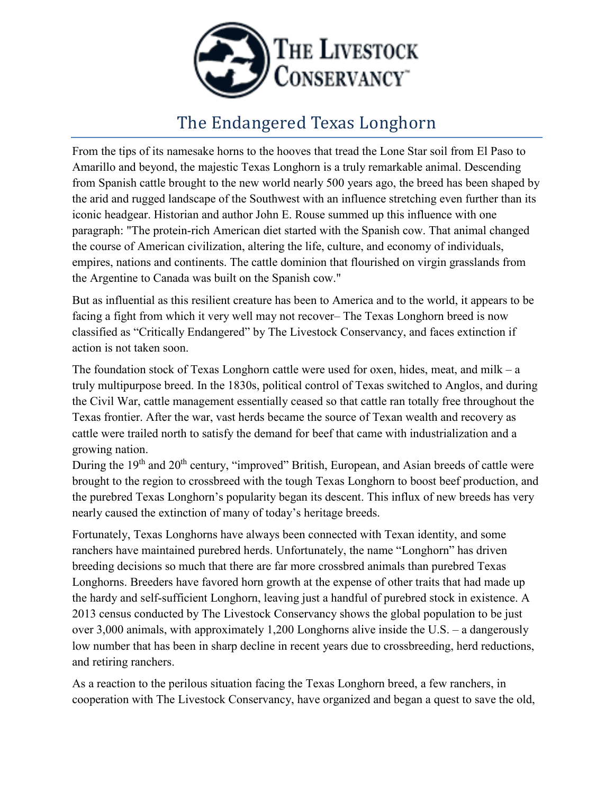

## The Endangered Texas Longhorn

From the tips of its namesake horns to the hooves that tread the Lone Star soil from El Paso to Amarillo and beyond, the majestic Texas Longhorn is a truly remarkable animal. Descending from Spanish cattle brought to the new world nearly 500 years ago, the breed has been shaped by the arid and rugged landscape of the Southwest with an influence stretching even further than its iconic headgear. Historian and author John E. Rouse summed up this influence with one paragraph: "The protein-rich American diet started with the Spanish cow. That animal changed the course of American civilization, altering the life, culture, and economy of individuals, empires, nations and continents. The cattle dominion that flourished on virgin grasslands from the Argentine to Canada was built on the Spanish cow."

But as influential as this resilient creature has been to America and to the world, it appears to be facing a fight from which it very well may not recover– The Texas Longhorn breed is now classified as "Critically Endangered" by The Livestock Conservancy, and faces extinction if action is not taken soon.

The foundation stock of Texas Longhorn cattle were used for oxen, hides, meat, and milk – a truly multipurpose breed. In the 1830s, political control of Texas switched to Anglos, and during the Civil War, cattle management essentially ceased so that cattle ran totally free throughout the Texas frontier. After the war, vast herds became the source of Texan wealth and recovery as cattle were trailed north to satisfy the demand for beef that came with industrialization and a growing nation.

During the 19<sup>th</sup> and 20<sup>th</sup> century, "improved" British, European, and Asian breeds of cattle were brought to the region to crossbreed with the tough Texas Longhorn to boost beef production, and the purebred Texas Longhorn's popularity began its descent. This influx of new breeds has very nearly caused the extinction of many of today's heritage breeds.

Fortunately, Texas Longhorns have always been connected with Texan identity, and some ranchers have maintained purebred herds. Unfortunately, the name "Longhorn" has driven breeding decisions so much that there are far more crossbred animals than purebred Texas Longhorns. Breeders have favored horn growth at the expense of other traits that had made up the hardy and self-sufficient Longhorn, leaving just a handful of purebred stock in existence. A 2013 census conducted by The Livestock Conservancy shows the global population to be just over 3,000 animals, with approximately 1,200 Longhorns alive inside the U.S. – a dangerously low number that has been in sharp decline in recent years due to crossbreeding, herd reductions, and retiring ranchers.

As a reaction to the perilous situation facing the Texas Longhorn breed, a few ranchers, in cooperation with The Livestock Conservancy, have organized and began a quest to save the old,